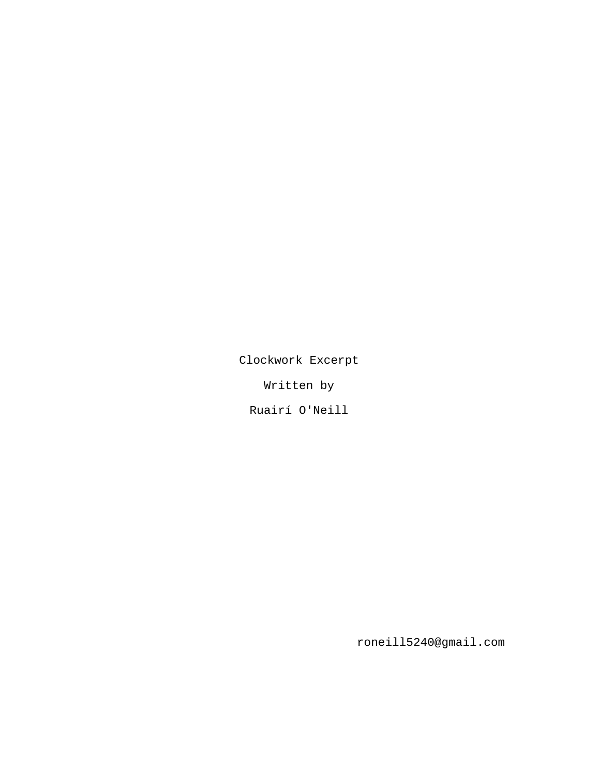Clockwork Excerpt

Written by

Ruairí O'Neill

roneill5240@gmail.com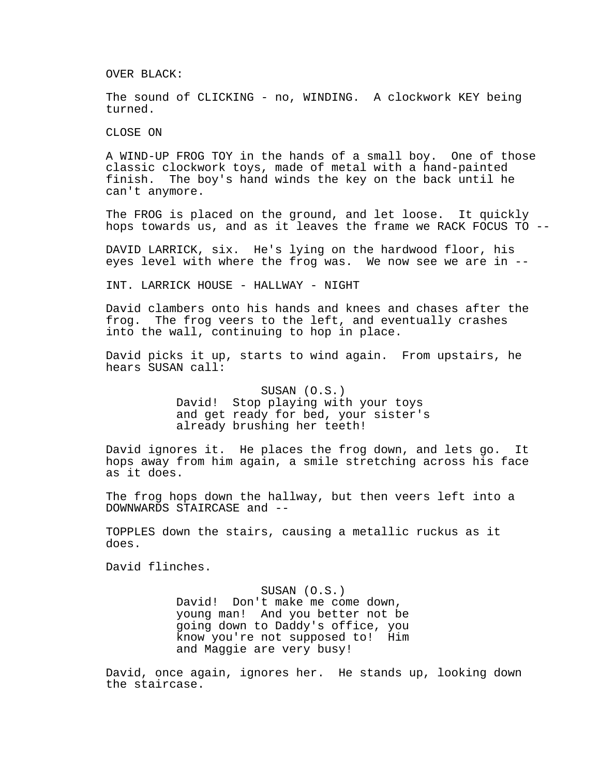OVER BLACK:

The sound of CLICKING - no, WINDING. A clockwork KEY being turned.

CLOSE ON

A WIND-UP FROG TOY in the hands of a small boy. One of those classic clockwork toys, made of metal with a hand-painted finish. The boy's hand winds the key on the back until he can't anymore.

The FROG is placed on the ground, and let loose. It quickly hops towards us, and as it leaves the frame we RACK FOCUS TO --

DAVID LARRICK, six. He's lying on the hardwood floor, his eyes level with where the frog was. We now see we are in --

INT. LARRICK HOUSE - HALLWAY - NIGHT

David clambers onto his hands and knees and chases after the frog. The frog veers to the left, and eventually crashes into the wall, continuing to hop in place.

David picks it up, starts to wind again. From upstairs, he hears SUSAN call:

> SUSAN (O.S.) David! Stop playing with your toys and get ready for bed, your sister's already brushing her teeth!

David ignores it. He places the frog down, and lets go. It hops away from him again, a smile stretching across his face as it does.

The frog hops down the hallway, but then veers left into a DOWNWARDS STAIRCASE and --

TOPPLES down the stairs, causing a metallic ruckus as it does.

David flinches.

SUSAN (O.S.) David! Don't make me come down, young man! And you better not be going down to Daddy's office, you know you're not supposed to! Him and Maggie are very busy!

David, once again, ignores her. He stands up, looking down the staircase.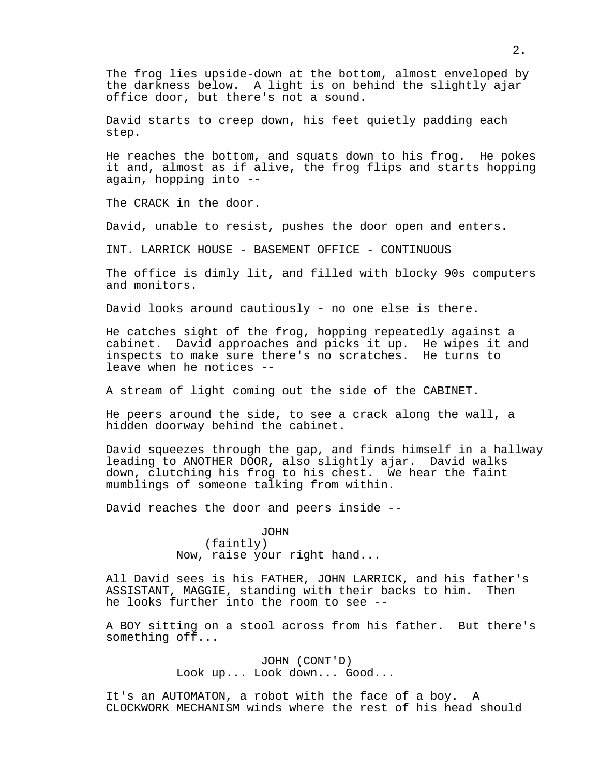The frog lies upside-down at the bottom, almost enveloped by the darkness below. A light is on behind the slightly ajar office door, but there's not a sound.

David starts to creep down, his feet quietly padding each step.

He reaches the bottom, and squats down to his frog. He pokes it and, almost as if alive, the frog flips and starts hopping again, hopping into --

The CRACK in the door.

David, unable to resist, pushes the door open and enters.

INT. LARRICK HOUSE - BASEMENT OFFICE - CONTINUOUS

The office is dimly lit, and filled with blocky 90s computers and monitors.

David looks around cautiously - no one else is there.

He catches sight of the frog, hopping repeatedly against a cabinet. David approaches and picks it up. He wipes it and inspects to make sure there's no scratches. He turns to leave when he notices --

A stream of light coming out the side of the CABINET.

He peers around the side, to see a crack along the wall, a hidden doorway behind the cabinet.

David squeezes through the gap, and finds himself in a hallway leading to ANOTHER DOOR, also slightly ajar. David walks down, clutching his frog to his chest. We hear the faint mumblings of someone talking from within.

David reaches the door and peers inside --

## JOHN

(faintly) Now, raise your right hand...

All David sees is his FATHER, JOHN LARRICK, and his father's ASSISTANT, MAGGIE, standing with their backs to him. Then he looks further into the room to see --

A BOY sitting on a stool across from his father. But there's something off...

> JOHN (CONT'D) Look up... Look down... Good...

It's an AUTOMATON, a robot with the face of a boy. A CLOCKWORK MECHANISM winds where the rest of his head should